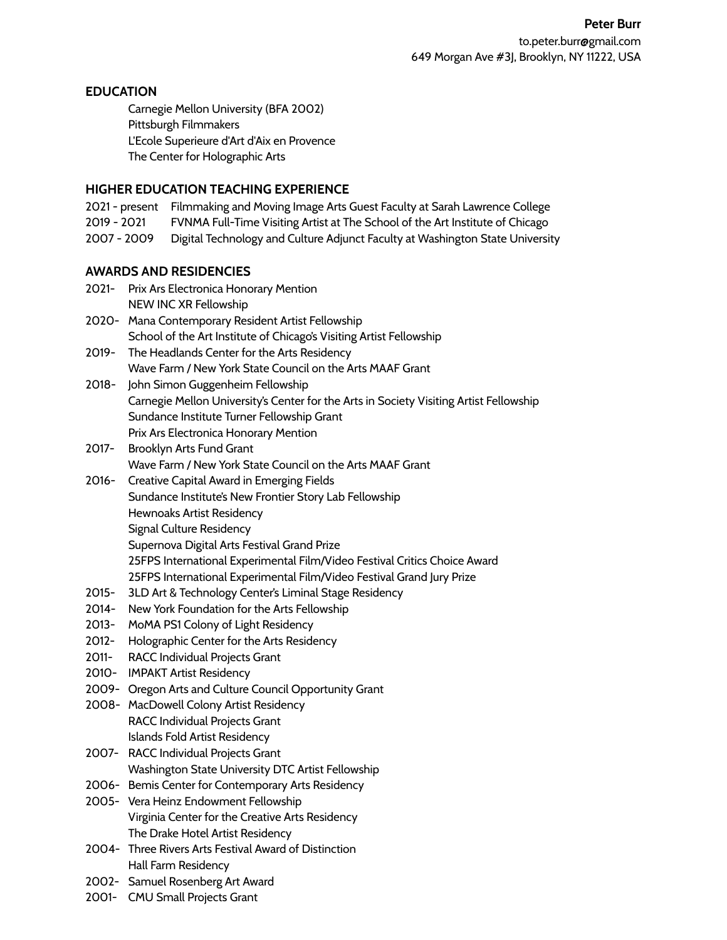### **EDUCATION**

Carnegie Mellon University (BFA 2002) Pittsburgh Filmmakers L'Ecole Superieure d'Art d'Aix en Provence The Center for Holographic Arts

### **HIGHER EDUCATION TEACHING EXPERIENCE**

- 2021 present Filmmaking and Moving Image Arts Guest Faculty at Sarah Lawrence College
- 2019 2021 FVNMA Full-Time Visiting Artist at The School of the Art Institute of Chicago
- 2007 2009 Digital Technology and Culture Adjunct Faculty at Washington State University

### **AWARDS AND RESIDENCIES**

2021- Prix Ars Electronica Honorary Mention NEW INC XR Fellowship 2020- Mana Contemporary Resident Artist Fellowship School of the Art Institute of Chicago's Visiting Artist Fellowship 2019- The Headlands Center for the Arts Residency Wave Farm / New York State Council on the Arts MAAF Grant 2018- John Simon Guggenheim Fellowship Carnegie Mellon University's Center for the Arts in Society Visiting Artist Fellowship Sundance Institute Turner Fellowship Grant Prix Ars Electronica Honorary Mention 2017- Brooklyn Arts Fund Grant Wave Farm / New York State Council on the Arts MAAF Grant 2016- Creative Capital Award in Emerging Fields Sundance Institute's New Frontier Story Lab Fellowship Hewnoaks Artist Residency Signal Culture Residency Supernova Digital Arts Festival Grand Prize 25FPS International Experimental Film/Video Festival Critics Choice Award 25FPS International Experimental Film/Video Festival Grand Jury Prize 2015- 3LD Art & Technology Center's Liminal Stage Residency 2014- New York Foundation for the Arts Fellowship 2013- MoMA PS1 Colony of Light Residency 2012- Holographic Center for the Arts Residency 2011- RACC Individual Projects Grant 2010- IMPAKT Artist Residency 2009- Oregon Arts and Culture Council Opportunity Grant 2008- MacDowell Colony Artist Residency RACC Individual Projects Grant Islands Fold Artist Residency 2007- RACC Individual Projects Grant Washington State University DTC Artist Fellowship 2006- Bemis Center for Contemporary Arts Residency 2005- Vera Heinz Endowment Fellowship Virginia Center for the Creative Arts Residency The Drake Hotel Artist Residency 2004- Three Rivers Arts Festival Award of Distinction Hall Farm Residency 2002- Samuel Rosenberg Art Award 2001- CMU Small Projects Grant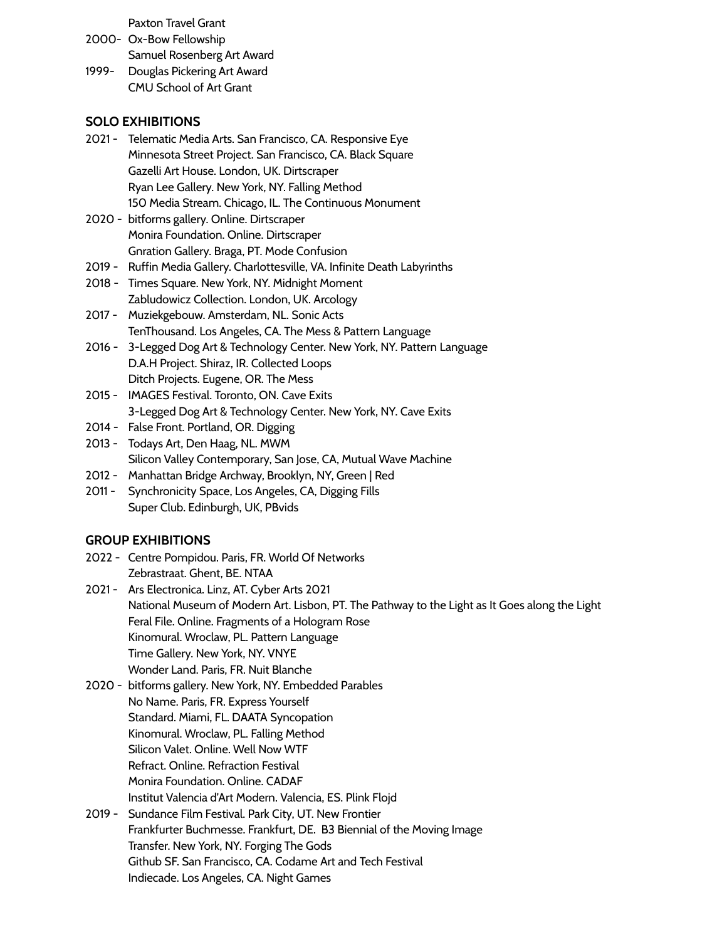Paxton Travel Grant

- 2000- Ox-Bow Fellowship
- Samuel Rosenberg Art Award
- 1999- Douglas Pickering Art Award CMU School of Art Grant

## **SOLO EXHIBITIONS**

| 2021 - | Telematic Media Arts. San Francisco, CA. Responsive Eye   |
|--------|-----------------------------------------------------------|
|        | Minnesota Street Project. San Francisco, CA. Black Square |
|        | Gazelli Art House. London, UK. Dirtscraper                |
|        | Ryan Lee Gallery. New York, NY. Falling Method            |
|        | 150 Media Stream. Chicago, IL. The Continuous Monument    |

- 2020 bitforms gallery. Online. Dirtscraper Monira Foundation. Online. Dirtscraper Gnration Gallery. Braga, PT. Mode Confusion
- 2019 Ruffin Media Gallery. Charlottesville, VA. Infinite Death Labyrinths
- 2018 Times Square. New York, NY. Midnight Moment Zabludowicz Collection. London, UK. Arcology
- 2017 Muziekgebouw. Amsterdam, NL. Sonic Acts TenThousand. Los Angeles, CA. The Mess & Pattern Language
- 2016 3-Legged Dog Art & Technology Center. New York, NY. Pattern Language D.A.H Project. Shiraz, IR. Collected Loops Ditch Projects. Eugene, OR. The Mess
- 2015 IMAGES Festival. Toronto, ON. Cave Exits 3-Legged Dog Art & Technology Center. New York, NY. Cave Exits
- 2014 False Front. Portland, OR. Digging
- 2013 Todays Art, Den Haag, NL. MWM Silicon Valley Contemporary, San Jose, CA, Mutual Wave Machine
- 2012 Manhattan Bridge Archway, Brooklyn, NY, Green | Red
- 2011 Synchronicity Space, Los Angeles, CA, Digging Fills Super Club. Edinburgh, UK, PBvids

# **GROUP EXHIBITIONS**

- 2022 Centre Pompidou. Paris, FR. World Of Networks Zebrastraat. Ghent, BE. NTAA
- 2021 Ars Electronica. Linz, AT. Cyber Arts 2021 National Museum of Modern Art. Lisbon, PT. The Pathway to the Light as It Goes along the Light Feral File. Online. Fragments of a Hologram Rose Kinomural. Wroclaw, PL. Pattern Language Time Gallery. New York, NY. VNYE Wonder Land. Paris, FR. Nuit Blanche
- 2020 bitforms gallery. New York, NY. Embedded Parables No Name. Paris, FR. Express Yourself Standard. Miami, FL. DAATA Syncopation Kinomural. Wroclaw, PL. Falling Method Silicon Valet. Online. Well Now WTF Refract. Online. Refraction Festival Monira Foundation. Online. CADAF Institut Valencia d'Art Modern. Valencia, ES. Plink Flojd
- 2019 Sundance Film Festival. Park City, UT. New Frontier Frankfurter Buchmesse. Frankfurt, DE. B3 Biennial of the Moving Image Transfer. New York, NY. Forging The Gods Github SF. San Francisco, CA. Codame Art and Tech Festival Indiecade. Los Angeles, CA. Night Games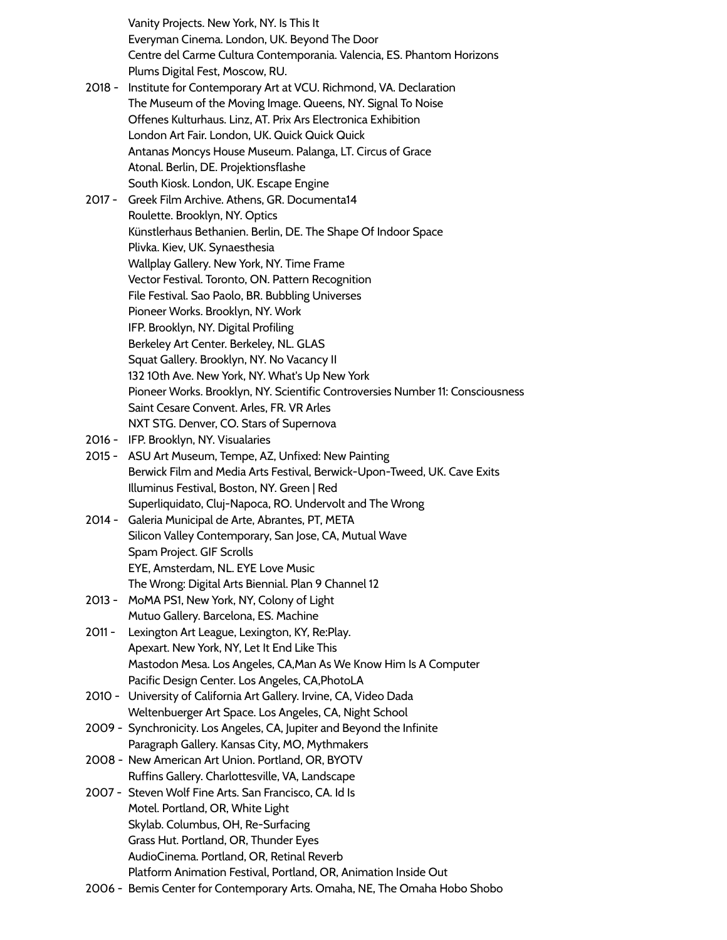Vanity Projects. New York, NY. Is This It Everyman Cinema. London, UK. Beyond The Door Centre del Carme Cultura Contemporania. Valencia, ES. Phantom Horizons Plums Digital Fest, Moscow, RU.

2018 - Institute for Contemporary Art at VCU. Richmond, VA. Declaration The Museum of the Moving Image. Queens, NY. Signal To Noise Offenes Kulturhaus. Linz, AT. Prix Ars Electronica Exhibition London Art Fair. London, UK. Quick Quick Quick Antanas Moncys House Museum. Palanga, LT. Circus of Grace Atonal. Berlin, DE. Projektionsflashe South Kiosk. London, UK. Escape Engine

2017 - Greek Film Archive. Athens, GR. Documenta14 Roulette. Brooklyn, NY. Optics Künstlerhaus Bethanien. Berlin, DE. The Shape Of Indoor Space Plivka. Kiev, UK. Synaesthesia Wallplay Gallery. New York, NY. Time Frame Vector Festival. Toronto, ON. Pattern Recognition File Festival. Sao Paolo, BR. Bubbling Universes Pioneer Works. Brooklyn, NY. Work IFP. Brooklyn, NY. Digital Profiling Berkeley Art Center. Berkeley, NL. GLAS Squat Gallery. Brooklyn, NY. No Vacancy II 132 10th Ave. New York, NY. What's Up New York Pioneer Works. Brooklyn, NY. Scientific Controversies Number 11: Consciousness Saint Cesare Convent. Arles, FR. VR Arles NXT STG. Denver, CO. Stars of Supernova

- 2016 IFP. Brooklyn, NY. Visualaries
- 2015 ASU Art Museum, Tempe, AZ, Unfixed: New Painting Berwick Film and Media Arts Festival, Berwick-Upon-Tweed, UK. Cave Exits Illuminus Festival, Boston, NY. Green | Red Superliquidato, Cluj-Napoca, RO. Undervolt and The Wrong
- 2014 Galeria Municipal de Arte, Abrantes, PT, META Silicon Valley Contemporary, San Jose, CA, Mutual Wave Spam Project. GIF Scrolls EYE, Amsterdam, NL. EYE Love Music The Wrong: Digital Arts Biennial. Plan 9 Channel 12
- 2013 MoMA PS1, New York, NY, Colony of Light Mutuo Gallery. Barcelona, ES. Machine
- 2011 Lexington Art League, Lexington, KY, Re:Play. Apexart. New York, NY, Let It End Like This Mastodon Mesa. Los Angeles, CA,Man As We Know Him Is A Computer Pacific Design Center. Los Angeles, CA,PhotoLA
- 2010 University of California Art Gallery. Irvine, CA, Video Dada Weltenbuerger Art Space. Los Angeles, CA, Night School
- 2009 Synchronicity. Los Angeles, CA, Jupiter and Beyond the Infinite Paragraph Gallery. Kansas City, MO, Mythmakers
- 2008 New American Art Union. Portland, OR, BYOTV Ruffins Gallery. Charlottesville, VA, Landscape
- 2007 Steven Wolf Fine Arts. San Francisco, CA. Id Is Motel. Portland, OR, White Light Skylab. Columbus, OH, Re-Surfacing Grass Hut. Portland, OR, Thunder Eyes AudioCinema. Portland, OR, Retinal Reverb Platform Animation Festival, Portland, OR, Animation Inside Out
- 2006 Bemis Center for Contemporary Arts. Omaha, NE, The Omaha Hobo Shobo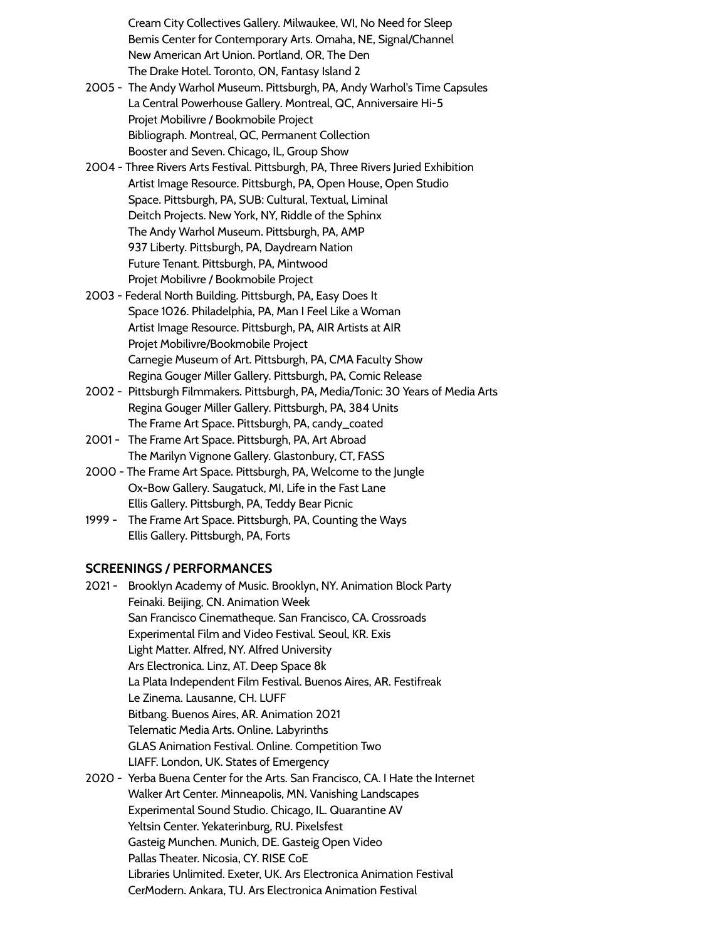Cream City Collectives Gallery. Milwaukee, WI, No Need for Sleep Bemis Center for Contemporary Arts. Omaha, NE, Signal/Channel New American Art Union. Portland, OR, The Den The Drake Hotel. Toronto, ON, Fantasy Island 2

- 2005 The Andy Warhol Museum. Pittsburgh, PA, Andy Warhol's Time Capsules La Central Powerhouse Gallery. Montreal, QC, Anniversaire Hi-5 Projet Mobilivre / Bookmobile Project Bibliograph. Montreal, QC, Permanent Collection Booster and Seven. Chicago, IL, Group Show
- 2004 Three Rivers Arts Festival. Pittsburgh, PA, Three Rivers Juried Exhibition Artist Image Resource. Pittsburgh, PA, Open House, Open Studio Space. Pittsburgh, PA, SUB: Cultural, Textual, Liminal Deitch Projects. New York, NY, Riddle of the Sphinx The Andy Warhol Museum. Pittsburgh, PA, AMP 937 Liberty. Pittsburgh, PA, Daydream Nation Future Tenant. Pittsburgh, PA, Mintwood Projet Mobilivre / Bookmobile Project
- 2003 Federal North Building. Pittsburgh, PA, Easy Does It Space 1026. Philadelphia, PA, Man I Feel Like a Woman Artist Image Resource. Pittsburgh, PA, AIR Artists at AIR Projet Mobilivre/Bookmobile Project Carnegie Museum of Art. Pittsburgh, PA, CMA Faculty Show Regina Gouger Miller Gallery. Pittsburgh, PA, Comic Release
- 2002 Pittsburgh Filmmakers. Pittsburgh, PA, Media/Tonic: 30 Years of Media Arts Regina Gouger Miller Gallery. Pittsburgh, PA, 384 Units The Frame Art Space. Pittsburgh, PA, candy\_coated
- 2001 The Frame Art Space. Pittsburgh, PA, Art Abroad The Marilyn Vignone Gallery. Glastonbury, CT, FASS
- 2000 The Frame Art Space. Pittsburgh, PA, Welcome to the Jungle Ox-Bow Gallery. Saugatuck, MI, Life in the Fast Lane Ellis Gallery. Pittsburgh, PA, Teddy Bear Picnic
- 1999 The Frame Art Space. Pittsburgh, PA, Counting the Ways Ellis Gallery. Pittsburgh, PA, Forts

### **SCREENINGS / PERFORMANCES**

2021 - Brooklyn Academy of Music. Brooklyn, NY. Animation Block Party Feinaki. Beijing, CN. Animation Week San Francisco Cinematheque. San Francisco, CA. Crossroads Experimental Film and Video Festival. Seoul, KR. Exis Light Matter. Alfred, NY. Alfred University Ars Electronica. Linz, AT. Deep Space 8k La Plata Independent Film Festival. Buenos Aires, AR. Festifreak Le Zinema. Lausanne, CH. LUFF Bitbang. Buenos Aires, AR. Animation 2021 Telematic Media Arts. Online. Labyrinths GLAS Animation Festival. Online. Competition Two LIAFF. London, UK. States of Emergency 2020 - Yerba Buena Center for the Arts. San Francisco, CA. I Hate the Internet Walker Art Center. Minneapolis, MN. Vanishing Landscapes Experimental Sound Studio. Chicago, IL. Quarantine AV Yeltsin Center. Yekaterinburg, RU. Pixelsfest Gasteig Munchen. Munich, DE. Gasteig Open Video Pallas Theater. Nicosia, CY. RISE CoE Libraries Unlimited. Exeter, UK. Ars Electronica Animation Festival [CerModern.](https://www.cermodern.org/) Ankara, TU. Ars Electronica Animation Festival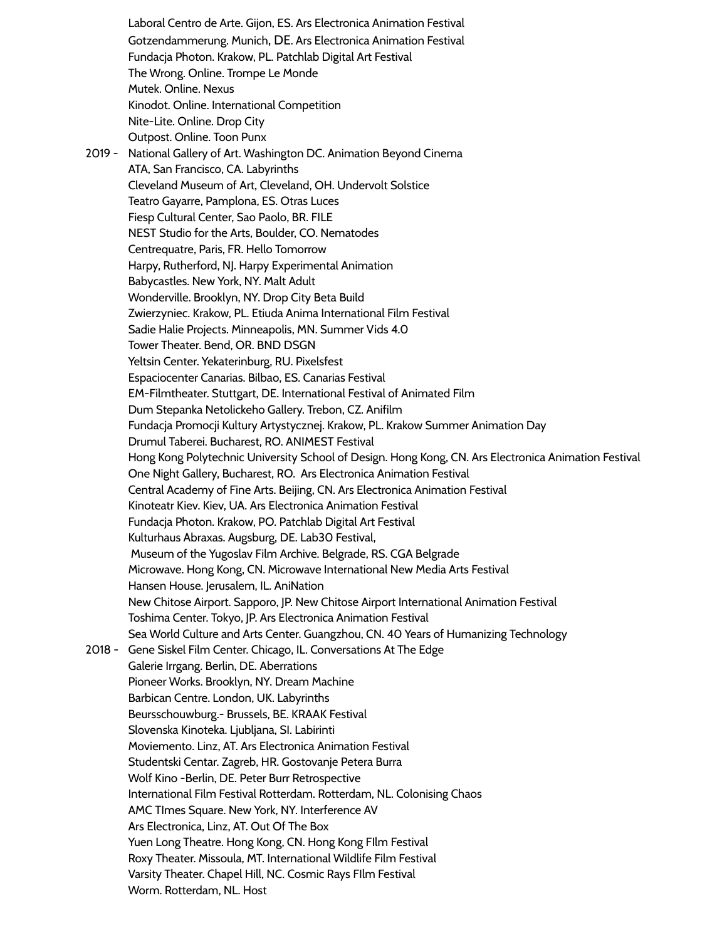Laboral Centro de Arte. Gijon, ES. Ars Electronica Animation Festival Gotzendammerung. Munich, DE. Ars Electronica Animation Festival Fundacja Photon. Krakow, PL. Patchlab Digital Art Festival The Wrong. Online. Trompe Le Monde Mutek. Online. Nexus Kinodot. Online. International Competition Nite-Lite. Online. Drop City Outpost. Online. Toon Punx 2019 - National Gallery of Art. Washington DC. Animation Beyond Cinema ATA, San Francisco, CA. Labyrinths Cleveland Museum of Art, Cleveland, OH. Undervolt Solstice Teatro Gayarre, Pamplona, ES. Otras Luces Fiesp Cultural Center, Sao Paolo, BR. FILE NEST Studio for the Arts, Boulder, CO. Nematodes Centrequatre, Paris, FR. Hello Tomorrow Harpy, Rutherford, NJ. Harpy Experimental Animation Babycastles. New York, NY. Malt Adult Wonderville. Brooklyn, NY. Drop City Beta Build Zwierzyniec. Krakow, PL. Etiuda Anima International Film Festival Sadie Halie Projects. Minneapolis, MN. Summer Vids 4.0 Tower Theater. Bend, OR. BND DSGN Yeltsin Center. Yekaterinburg, RU. Pixelsfest Espaciocenter Canarias. Bilbao, ES. [Canarias](http://www.espacioenter.net/2019/ARS_ELECTRONICA_en.htm) Festival EM-Filmtheater. Stuttgart, DE. International Festival of Animated Film Dum Stepanka Netolickeho Gallery. Trebon, CZ. Anifilm Fundacja Promocji Kultury Artystycznej. Krakow, PL. Krakow Summer Animation Day Drumul Taberei. Bucharest, RO. [ANIMEST](https://animest.ro/guest-festival-ars-electronica-animation-festival.aspx) Festival Hong Kong Polytechnic University School of Design. Hong Kong, CN. Ars Electronica Animation Festival One Night Gallery, Bucharest, RO. Ars Electronica Animation Festival Central Academy of Fine Arts. Beijing, CN. Ars Electronica Animation Festival Kinoteatr Kiev. [Ki](http://austriaukraine2019.com/en/events/austrian-film-week-2019/)ev, UA. Ars Electronica Animation Festival Fundacja Photon. Krakow, PO. Patchlab Digital Art Festival Kulturhaus Abraxas. [Augsburg](http://www.lab30.de/), DE. Lab30 Festival, Museum of the Yugoslav Film Archive. Belgrade, RS. CGA Belgrade Microwave. Hong Kong, CN. Microwave International New Media Arts Festival Hansen House. Jerusalem, IL. AniNation New Chitose Airport. [Sapporo,](http://airport-anifes.jp/programs/programs01/ars_electronica/) JP. New Chitose Airport [International](http://airport-anifes.jp/programs/programs01/ars_electronica/) Animation Festival Toshima Center. Tokyo, JP. Ars Electronica Animation Festival Sea World Culture and Arts Center. Guangzhou, CN. 40 Years of [Humanizing](https://ars.electronica.art/export/en/humanizingtechnology/) Technology 2018 - Gene Siskel Film Center. Chicago, IL. Conversations At The Edge Galerie Irrgang. Berlin, DE. Aberrations Pioneer Works. Brooklyn, NY. Dream Machine Barbican Centre. London, UK. Labyrinths Beursschouwburg.- Brussels, BE. KRAAK Festival Slovenska Kinoteka. Ljubljana, SI. Labirinti Moviemento. Linz, AT. Ars Electronica Animation Festival Studentski Centar. Zagreb, HR. Gostovanje Petera Burra Wolf Kino -Berlin, DE. Peter Burr Retrospective International Film Festival Rotterdam. Rotterdam, NL. Colonising Chaos AMC TImes Square. New York, NY. Interference AV Ars Electronica, Linz, AT. Out Of The Box Yuen Long Theatre. Hong Kong, CN. Hong Kong FIlm Festival Roxy Theater. Missoula, MT. International Wildlife Film Festival Varsity Theater. Chapel Hill, NC. Cosmic Rays FIlm Festival Worm. Rotterdam, NL. Host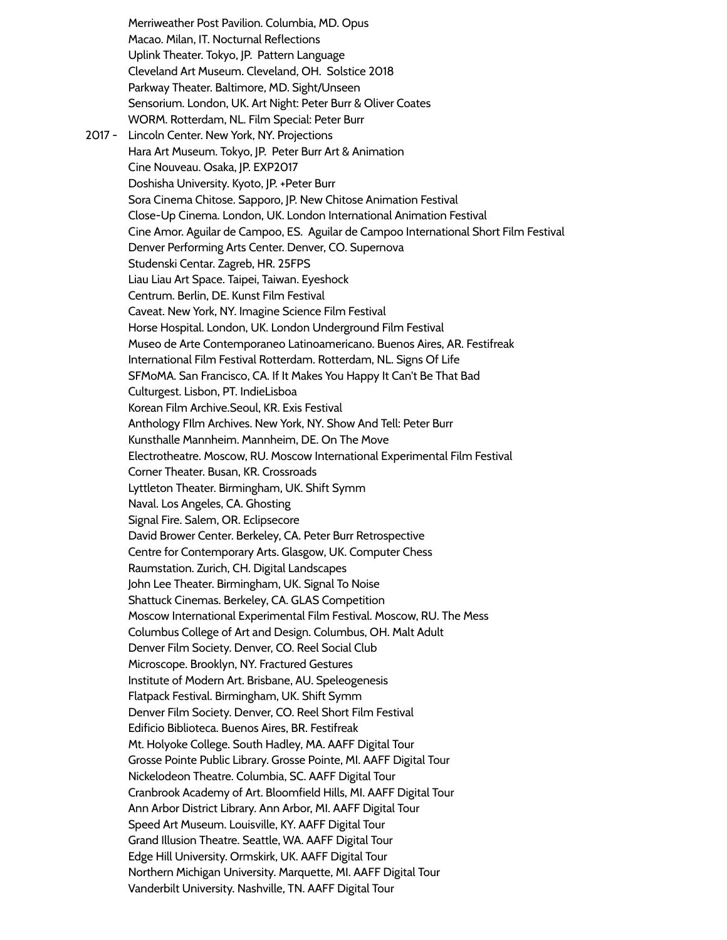Merriweather Post Pavilion. Columbia, MD. Opus Macao. Milan, IT. Nocturnal Reflections Uplink Theater. Tokyo, JP. Pattern Language Cleveland Art Museum. Cleveland, OH. Solstice 2018 Parkway Theater. Baltimore, MD. Sight/Unseen Sensorium. London, UK. Art Night: Peter Burr & Oliver Coates WORM. Rotterdam, NL. Film Special: Peter Burr 2017 - Lincoln Center. New York, NY. Projections Hara Art Museum. Tokyo, JP. Peter Burr Art & Animation Cine Nouveau. Osaka, JP. EXP2017 Doshisha University. Kyoto, JP. +Peter Burr Sora Cinema Chitose. Sapporo, JP. New Chitose Animation Festival Close-Up Cinema. London, UK. London International Animation Festival Cine Amor. Aguilar de Campoo, ES. Aguilar de Campoo International Short Film Festival Denver Performing Arts Center. Denver, CO. Supernova Studenski Centar. Zagreb, HR. 25FPS Liau Liau Art Space. Taipei, Taiwan. Eyeshock Centrum. Berlin, DE. Kunst Film Festival Caveat. New York, NY. Imagine Science Film Festival Horse Hospital. London, UK. London Underground Film Festival Museo de Arte Contemporaneo Latinoamericano. Buenos Aires, AR. Festifreak International Film Festival Rotterdam. Rotterdam, NL. Signs Of Life SFMoMA. San Francisco, CA. If It Makes You Happy It Can't Be That Bad Culturgest. Lisbon, PT. IndieLisboa Korean Film Archive.Seoul, KR. Exis Festival Anthology FIlm Archives. New York, NY. Show And Tell: Peter Burr Kunsthalle Mannheim. Mannheim, DE. On The Move Electrotheatre. Moscow, RU. Moscow International Experimental Film Festival Corner Theater. Busan, KR. Crossroads Lyttleton Theater. Birmingham, UK. Shift Symm Naval. Los Angeles, CA. Ghosting Signal Fire. Salem, OR. Eclipsecore David Brower Center. Berkeley, CA. Peter Burr Retrospective Centre for Contemporary Arts. Glasgow, UK. Computer Chess Raumstation. Zurich, CH. Digital Landscapes John Lee Theater. Birmingham, UK. Signal To Noise Shattuck Cinemas. Berkeley, CA. GLAS Competition Moscow International Experimental Film Festival. Moscow, RU. The Mess Columbus College of Art and Design. Columbus, OH. Malt Adult Denver Film Society. Denver, CO. Reel Social Club Microscope. Brooklyn, NY. Fractured Gestures Institute of Modern Art. Brisbane, AU. Speleogenesis Flatpack Festival. Birmingham, UK. Shift Symm Denver Film Society. Denver, CO. Reel Short Film Festival Edificio Biblioteca. Buenos Aires, BR. Festifreak Mt. Holyoke College. South Hadley, MA. AAFF Digital Tour Grosse Pointe Public Library. Grosse Pointe, MI. AAFF Digital Tour Nickelodeon Theatre. Columbia, SC. AAFF Digital Tour Cranbrook Academy of Art. Bloomfield Hills, MI. AAFF Digital Tour Ann Arbor District Library. Ann Arbor, MI. AAFF Digital Tour Speed Art Museum. Louisville, KY. AAFF Digital Tour Grand Illusion Theatre. Seattle, WA. AAFF Digital Tour Edge Hill University. Ormskirk, UK. AAFF Digital Tour Northern Michigan University. Marquette, MI. AAFF Digital Tour Vanderbilt University. Nashville, TN. AAFF Digital Tour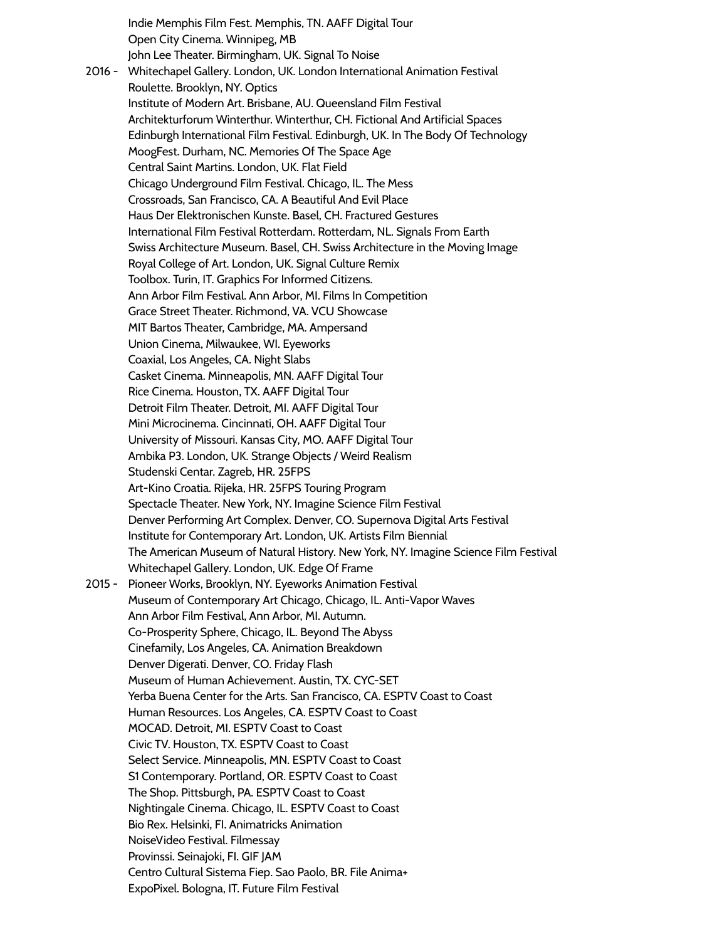Indie Memphis Film Fest. Memphis, TN. AAFF Digital Tour Open City Cinema. Winnipeg, MB John Lee Theater. Birmingham, UK. Signal To Noise

2016 - Whitechapel Gallery. London, UK. London International Animation Festival Roulette. Brooklyn, NY. Optics Institute of Modern Art. Brisbane, AU. Queensland Film Festival Architekturforum Winterthur. Winterthur, CH. Fictional And Artificial Spaces Edinburgh International Film Festival. Edinburgh, UK. In The Body Of Technology MoogFest. Durham, NC. Memories Of The Space Age Central Saint Martins. London, UK. Flat Field Chicago Underground Film Festival. Chicago, IL. The Mess Crossroads, San Francisco, CA. A Beautiful And Evil Place Haus Der Elektronischen Kunste. Basel, CH. Fractured Gestures International Film Festival Rotterdam. Rotterdam, NL. Signals From Earth Swiss Architecture Museum. Basel, CH. Swiss Architecture in the Moving Image Royal College of Art. London, UK. Signal Culture Remix Toolbox. Turin, IT. Graphics For Informed Citizens. Ann Arbor Film Festival. Ann Arbor, MI. Films In Competition Grace Street Theater. Richmond, VA. VCU Showcase MIT Bartos Theater, Cambridge, MA. Ampersand Union Cinema, Milwaukee, WI. Eyeworks Coaxial, Los Angeles, CA. Night Slabs Casket Cinema. Minneapolis, MN. AAFF Digital Tour Rice Cinema. Houston, TX. AAFF Digital Tour Detroit Film Theater. Detroit, MI. AAFF Digital Tour Mini Microcinema. Cincinnati, OH. AAFF Digital Tour University of Missouri. Kansas City, MO. AAFF Digital Tour Ambika P3. London, UK. Strange Objects / Weird Realism Studenski Centar. Zagreb, HR. 25FPS Art-Kino Croatia. Rijeka, HR. 25FPS Touring Program Spectacle Theater. New York, NY. Imagine Science Film Festival Denver Performing Art Complex. Denver, CO. Supernova Digital Arts Festival Institute for Contemporary Art. London, UK. Artists Film Biennial The American Museum of Natural History. New York, NY. Imagine Science Film Festival Whitechapel Gallery. London, UK. Edge Of Frame 2015 - Pioneer Works, Brooklyn, NY. Eyeworks Animation Festival Museum of Contemporary Art Chicago, Chicago, IL. Anti-Vapor Waves Ann Arbor Film Festival, Ann Arbor, MI. Autumn. Co-Prosperity Sphere, Chicago, IL. Beyond The Abyss Cinefamily, Los Angeles, CA. Animation Breakdown Denver Digerati. Denver, CO. Friday Flash Museum of Human Achievement. Austin, TX. CYC-SET Yerba Buena Center for the Arts. San Francisco, CA. ESPTV Coast to Coast Human Resources. Los Angeles, CA. ESPTV Coast to Coast MOCAD. Detroit, MI. ESPTV Coast to Coast Civic TV. Houston, TX. ESPTV Coast to Coast Select Service. Minneapolis, MN. ESPTV Coast to Coast S1 Contemporary. Portland, OR. ESPTV Coast to Coast The Shop. Pittsburgh, PA. ESPTV Coast to Coast Nightingale Cinema. Chicago, IL. ESPTV Coast to Coast Bio Rex. Helsinki, FI. Animatricks Animation NoiseVideo Festival. Filmessay Provinssi. Seinajoki, FI. GIF JAM Centro Cultural Sistema Fiep. Sao Paolo, BR. File Anima+ ExpoPixel. Bologna, IT. Future Film Festival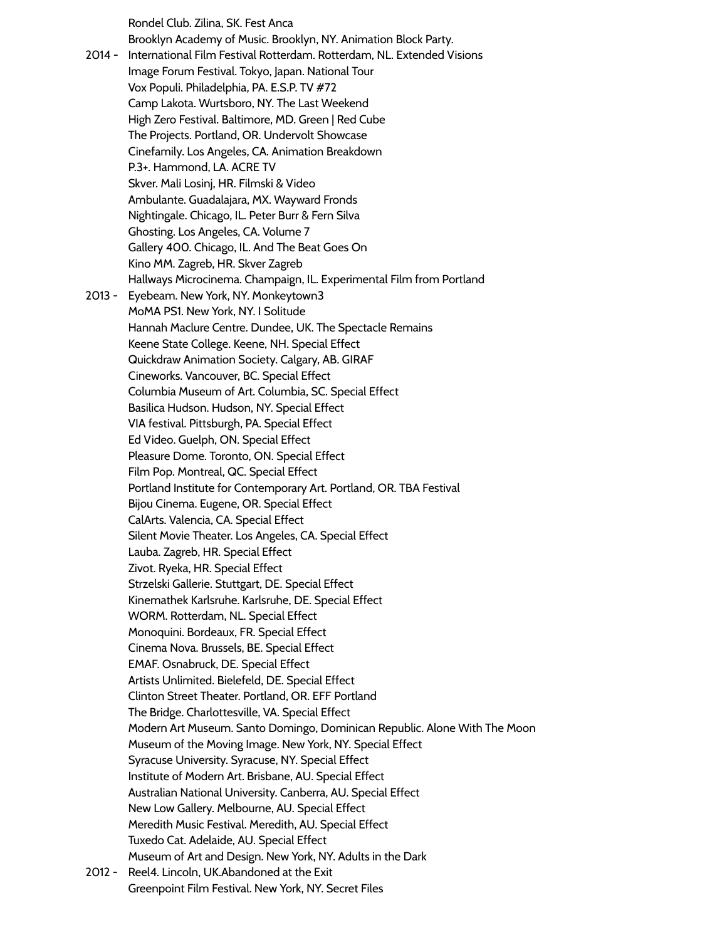Rondel Club. Zilina, SK. Fest Anca Brooklyn Academy of Music. Brooklyn, NY. Animation Block Party. 2014 - International Film Festival Rotterdam. Rotterdam, NL. Extended Visions Image Forum Festival. Tokyo, Japan. National Tour Vox Populi. Philadelphia, PA. E.S.P. TV #72 Camp Lakota. Wurtsboro, NY. The Last Weekend High Zero Festival. Baltimore, MD. Green | Red Cube The Projects. Portland, OR. Undervolt Showcase Cinefamily. Los Angeles, CA. Animation Breakdown P.3+. Hammond, LA. ACRE TV Skver. Mali Losinj, HR. Filmski & Video Ambulante. Guadalajara, MX. Wayward Fronds Nightingale. Chicago, IL. Peter Burr & Fern Silva Ghosting. Los Angeles, CA. Volume 7 Gallery 400. Chicago, IL. And The Beat Goes On Kino MM. Zagreb, HR. Skver Zagreb Hallways Microcinema. Champaign, IL. Experimental Film from Portland 2013 - Eyebeam. New York, NY. Monkeytown3 MoMA PS1. New York, NY. I Solitude Hannah Maclure Centre. Dundee, UK. The Spectacle Remains Keene State College. Keene, NH. Special Effect Quickdraw Animation Society. Calgary, AB. GIRAF Cineworks. Vancouver, BC. Special Effect Columbia Museum of Art. Columbia, SC. Special Effect Basilica Hudson. Hudson, NY. Special Effect VIA festival. Pittsburgh, PA. Special Effect Ed Video. Guelph, ON. Special Effect Pleasure Dome. Toronto, ON. Special Effect Film Pop. Montreal, QC. Special Effect Portland Institute for Contemporary Art. Portland, OR. TBA Festival Bijou Cinema. Eugene, OR. Special Effect CalArts. Valencia, CA. Special Effect Silent Movie Theater. Los Angeles, CA. Special Effect Lauba. Zagreb, HR. Special Effect Zivot. Ryeka, HR. Special Effect Strzelski Gallerie. Stuttgart, DE. Special Effect Kinemathek Karlsruhe. Karlsruhe, DE. Special Effect WORM. Rotterdam, NL. Special Effect Monoquini. Bordeaux, FR. Special Effect Cinema Nova. Brussels, BE. Special Effect EMAF. Osnabruck, DE. Special Effect Artists Unlimited. Bielefeld, DE. Special Effect Clinton Street Theater. Portland, OR. EFF Portland The Bridge. Charlottesville, VA. Special Effect Modern Art Museum. Santo Domingo, Dominican Republic. Alone With The Moon Museum of the Moving Image. New York, NY. Special Effect Syracuse University. Syracuse, NY. Special Effect Institute of Modern Art. Brisbane, AU. Special Effect Australian National University. Canberra, AU. Special Effect New Low Gallery. Melbourne, AU. Special Effect Meredith Music Festival. Meredith, AU. Special Effect Tuxedo Cat. Adelaide, AU. Special Effect Museum of Art and Design. New York, NY. Adults in the Dark 2012 - Reel4. Lincoln, UK.Abandoned at the Exit

Greenpoint Film Festival. New York, NY. Secret Files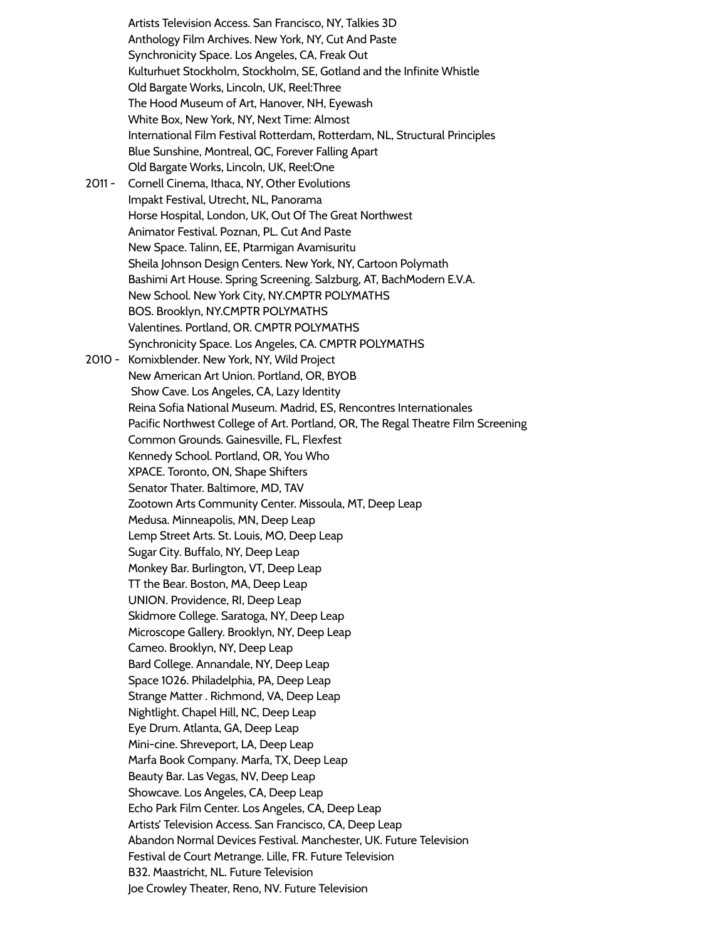Artists Television Access. San Francisco, NY, Talkies 3D Anthology Film Archives. New York, NY, Cut And Paste Synchronicity Space. Los Angeles, CA, Freak Out Kulturhuet Stockholm, Stockholm, SE, Gotland and the Infinite Whistle Old Bargate Works, Lincoln, UK, Reel:Three The Hood Museum of Art, Hanover, NH, Eyewash White Box, New York, NY, Next Time: Almost International Film Festival Rotterdam, Rotterdam, NL, Structural Principles Blue Sunshine, Montreal, QC, Forever Falling Apart Old Bargate Works, Lincoln, UK, Reel:One 2011 - Cornell Cinema, Ithaca, NY, Other Evolutions Impakt Festival, Utrecht, NL, Panorama Horse Hospital, London, UK, Out Of The Great Northwest

Animator Festival. Poznan, PL. Cut And Paste New Space. Talinn, EE, Ptarmigan Avamisuritu Sheila Johnson Design Centers. New York, NY, Cartoon Polymath Bashimi Art House. Spring Screening. Salzburg, AT, BachModern E.V.A. New School. New York City, NY.CMPTR POLYMATHS BOS. Brooklyn, NY.CMPTR POLYMATHS Valentines. Portland, OR. CMPTR POLYMATHS Synchronicity Space. Los Angeles, CA. CMPTR POLYMATHS

2010 - Komixblender. New York, NY, Wild Project New American Art Union. Portland, OR, BYOB Show Cave. Los Angeles, CA, Lazy Identity Reina Sofia National Museum. Madrid, ES, Rencontres Internationales Pacific Northwest College of Art. Portland, OR, The Regal Theatre Film Screening Common Grounds. Gainesville, FL, Flexfest Kennedy School. Portland, OR, You Who XPACE. Toronto, ON, Shape Shifters Senator Thater. Baltimore, MD, TAV Zootown Arts Community Center. Missoula, MT, Deep Leap Medusa. Minneapolis, MN, Deep Leap Lemp Street Arts. St. Louis, MO, Deep Leap Sugar City. Buffalo, NY, Deep Leap Monkey Bar. Burlington, VT, Deep Leap TT the Bear. Boston, MA, Deep Leap UNION. Providence, RI, Deep Leap Skidmore College. Saratoga, NY, Deep Leap Microscope Gallery. Brooklyn, NY, Deep Leap Cameo. Brooklyn, NY, Deep Leap Bard College. Annandale, NY, Deep Leap Space 1026. Philadelphia, PA, Deep Leap Strange Matter . Richmond, VA, Deep Leap Nightlight. Chapel Hill, NC, Deep Leap Eye Drum. Atlanta, GA, Deep Leap Mini-cine. Shreveport, LA, Deep Leap Marfa Book Company. Marfa, TX, Deep Leap Beauty Bar. Las Vegas, NV, Deep Leap Showcave. Los Angeles, CA, Deep Leap Echo Park Film Center. Los Angeles, CA, Deep Leap Artists' Television Access. San Francisco, CA, Deep Leap Abandon Normal Devices Festival. Manchester, UK. Future Television Festival de Court Metrange. Lille, FR. Future Television B32. Maastricht, NL. Future Television Joe Crowley Theater, Reno, NV. Future Television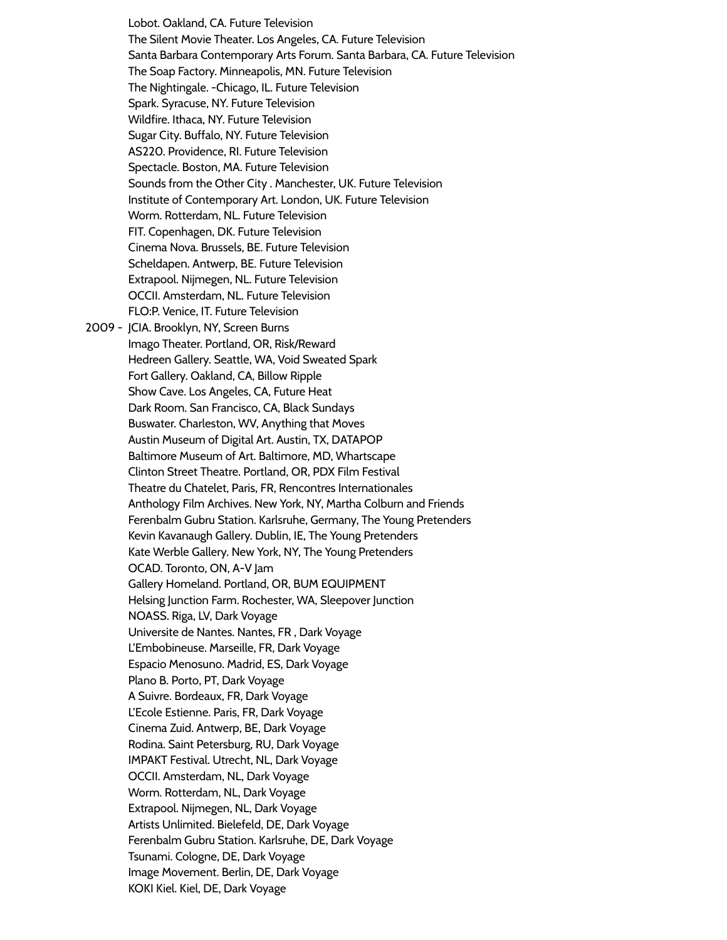Lobot. Oakland, CA. Future Television The Silent Movie Theater. Los Angeles, CA. Future Television Santa Barbara Contemporary Arts Forum. Santa Barbara, CA. Future Television The Soap Factory. Minneapolis, MN. Future Television The Nightingale. -Chicago, IL. Future Television Spark. Syracuse, NY. Future Television Wildfire. Ithaca, NY. Future Television Sugar City. Buffalo, NY. Future Television AS220. Providence, RI. Future Television Spectacle. Boston, MA. Future Television Sounds from the Other City . Manchester, UK. Future Television Institute of Contemporary Art. London, UK. Future Television Worm. Rotterdam, NL. Future Television FIT. Copenhagen, DK. Future Television Cinema Nova. Brussels, BE. Future Television Scheldapen. Antwerp, BE. Future Television Extrapool. Nijmegen, NL. Future Television OCCII. Amsterdam, NL. Future Television FLO:P. Venice, IT. Future Television 2009 - JCIA. Brooklyn, NY, Screen Burns Imago Theater. Portland, OR, Risk/Reward Hedreen Gallery. Seattle, WA, Void Sweated Spark Fort Gallery. Oakland, CA, Billow Ripple Show Cave. Los Angeles, CA, Future Heat Dark Room. San Francisco, CA, Black Sundays Buswater. Charleston, WV, Anything that Moves Austin Museum of Digital Art. Austin, TX, DATAPOP Baltimore Museum of Art. Baltimore, MD, Whartscape Clinton Street Theatre. Portland, OR, PDX Film Festival Theatre du Chatelet, Paris, FR, Rencontres Internationales Anthology Film Archives. New York, NY, Martha Colburn and Friends Ferenbalm Gubru Station. Karlsruhe, Germany, The Young Pretenders Kevin Kavanaugh Gallery. Dublin, IE, The Young Pretenders Kate Werble Gallery. New York, NY, The Young Pretenders OCAD. Toronto, ON, A-V Jam Gallery Homeland. Portland, OR, BUM EQUIPMENT Helsing Junction Farm. Rochester, WA, Sleepover Junction NOASS. Riga, LV, Dark Voyage Universite de Nantes. Nantes, FR , Dark Voyage L'Embobineuse. Marseille, FR, Dark Voyage Espacio Menosuno. Madrid, ES, Dark Voyage Plano B. Porto, PT, Dark Voyage A Suivre. Bordeaux, FR, Dark Voyage L'Ecole Estienne. Paris, FR, Dark Voyage Cinema Zuid. Antwerp, BE, Dark Voyage Rodina. Saint Petersburg, RU, Dark Voyage IMPAKT Festival. Utrecht, NL, Dark Voyage OCCII. Amsterdam, NL, Dark Voyage Worm. Rotterdam, NL, Dark Voyage Extrapool. Nijmegen, NL, Dark Voyage Artists Unlimited. Bielefeld, DE, Dark Voyage Ferenbalm Gubru Station. Karlsruhe, DE, Dark Voyage Tsunami. Cologne, DE, Dark Voyage Image Movement. Berlin, DE, Dark Voyage KOKI Kiel. Kiel, DE, Dark Voyage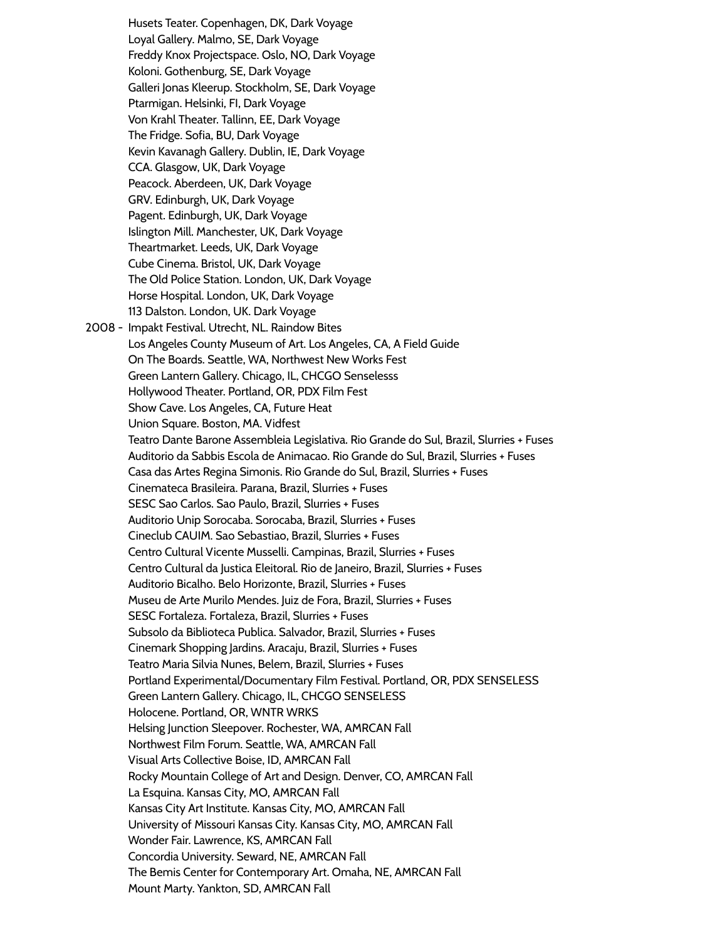Husets Teater. Copenhagen, DK, Dark Voyage Loyal Gallery. Malmo, SE, Dark Voyage Freddy Knox Projectspace. Oslo, NO, Dark Voyage Koloni. Gothenburg, SE, Dark Voyage Galleri Jonas Kleerup. Stockholm, SE, Dark Voyage Ptarmigan. Helsinki, FI, Dark Voyage Von Krahl Theater. Tallinn, EE, Dark Voyage The Fridge. Sofia, BU, Dark Voyage Kevin Kavanagh Gallery. Dublin, IE, Dark Voyage CCA. Glasgow, UK, Dark Voyage Peacock. Aberdeen, UK, Dark Voyage GRV. Edinburgh, UK, Dark Voyage Pagent. Edinburgh, UK, Dark Voyage Islington Mill. Manchester, UK, Dark Voyage Theartmarket. Leeds, UK, Dark Voyage Cube Cinema. Bristol, UK, Dark Voyage The Old Police Station. London, UK, Dark Voyage Horse Hospital. London, UK, Dark Voyage 113 Dalston. London, UK. Dark Voyage 2008 - Impakt Festival. Utrecht, NL. Raindow Bites Los Angeles County Museum of Art. Los Angeles, CA, A Field Guide On The Boards. Seattle, WA, Northwest New Works Fest Green Lantern Gallery. Chicago, IL, CHCGO Senselesss Hollywood Theater. Portland, OR, PDX Film Fest Show Cave. Los Angeles, CA, Future Heat Union Square. Boston, MA. Vidfest Teatro Dante Barone Assembleia Legislativa. Rio Grande do Sul, Brazil, Slurries + Fuses Auditorio da Sabbis Escola de Animacao. Rio Grande do Sul, Brazil, Slurries + Fuses Casa das Artes Regina Simonis. Rio Grande do Sul, Brazil, Slurries + Fuses Cinemateca Brasileira. Parana, Brazil, Slurries + Fuses SESC Sao Carlos. Sao Paulo, Brazil, Slurries + Fuses Auditorio Unip Sorocaba. Sorocaba, Brazil, Slurries + Fuses Cineclub CAUIM. Sao Sebastiao, Brazil, Slurries + Fuses Centro Cultural Vicente Musselli. Campinas, Brazil, Slurries + Fuses Centro Cultural da Justica Eleitoral. Rio de Janeiro, Brazil, Slurries + Fuses Auditorio Bicalho. Belo Horizonte, Brazil, Slurries + Fuses Museu de Arte Murilo Mendes. Juiz de Fora, Brazil, Slurries + Fuses SESC Fortaleza. Fortaleza, Brazil, Slurries + Fuses Subsolo da Biblioteca Publica. Salvador, Brazil, Slurries + Fuses Cinemark Shopping Jardins. Aracaju, Brazil, Slurries + Fuses Teatro Maria Silvia Nunes, Belem, Brazil, Slurries + Fuses Portland Experimental/Documentary Film Festival. Portland, OR, PDX SENSELESS Green Lantern Gallery. Chicago, IL, CHCGO SENSELESS Holocene. Portland, OR, WNTR WRKS Helsing Junction Sleepover. Rochester, WA, AMRCAN Fall Northwest Film Forum. Seattle, WA, AMRCAN Fall Visual Arts Collective Boise, ID, AMRCAN Fall Rocky Mountain College of Art and Design. Denver, CO, AMRCAN Fall La Esquina. Kansas City, MO, AMRCAN Fall Kansas City Art Institute. Kansas City, MO, AMRCAN Fall University of Missouri Kansas City. Kansas City, MO, AMRCAN Fall Wonder Fair. Lawrence, KS, AMRCAN Fall Concordia University. Seward, NE, AMRCAN Fall The Bemis Center for Contemporary Art. Omaha, NE, AMRCAN Fall Mount Marty. Yankton, SD, AMRCAN Fall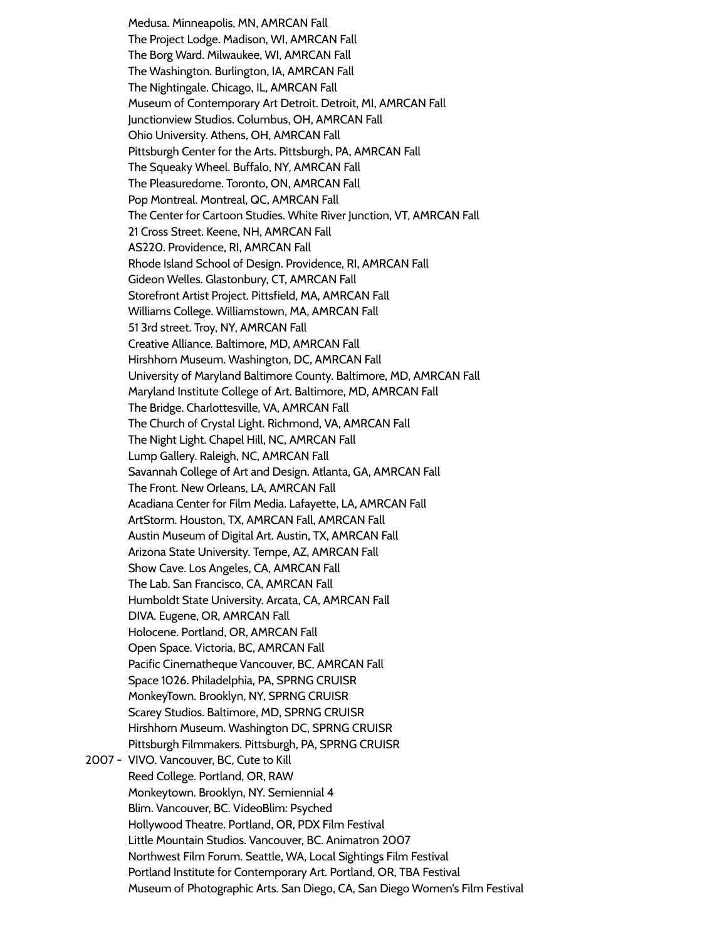Medusa. Minneapolis, MN, AMRCAN Fall The Project Lodge. Madison, WI, AMRCAN Fall The Borg Ward. Milwaukee, WI, AMRCAN Fall The Washington. Burlington, IA, AMRCAN Fall The Nightingale. Chicago, IL, AMRCAN Fall Museum of Contemporary Art Detroit. Detroit, MI, AMRCAN Fall Junctionview Studios. Columbus, OH, AMRCAN Fall Ohio University. Athens, OH, AMRCAN Fall Pittsburgh Center for the Arts. Pittsburgh, PA, AMRCAN Fall The Squeaky Wheel. Buffalo, NY, AMRCAN Fall The Pleasuredome. Toronto, ON, AMRCAN Fall Pop Montreal. Montreal, QC, AMRCAN Fall The Center for Cartoon Studies. White River Junction, VT, AMRCAN Fall 21 Cross Street. Keene, NH, AMRCAN Fall AS220. Providence, RI, AMRCAN Fall Rhode Island School of Design. Providence, RI, AMRCAN Fall Gideon Welles. Glastonbury, CT, AMRCAN Fall Storefront Artist Project. Pittsfield, MA, AMRCAN Fall Williams College. Williamstown, MA, AMRCAN Fall 51 3rd street. Troy, NY, AMRCAN Fall Creative Alliance. Baltimore, MD, AMRCAN Fall Hirshhorn Museum. Washington, DC, AMRCAN Fall University of Maryland Baltimore County. Baltimore, MD, AMRCAN Fall Maryland Institute College of Art. Baltimore, MD, AMRCAN Fall The Bridge. Charlottesville, VA, AMRCAN Fall The Church of Crystal Light. Richmond, VA, AMRCAN Fall The Night Light. Chapel Hill, NC, AMRCAN Fall Lump Gallery. Raleigh, NC, AMRCAN Fall Savannah College of Art and Design. Atlanta, GA, AMRCAN Fall The Front. New Orleans, LA, AMRCAN Fall Acadiana Center for Film Media. Lafayette, LA, AMRCAN Fall ArtStorm. Houston, TX, AMRCAN Fall, AMRCAN Fall Austin Museum of Digital Art. Austin, TX, AMRCAN Fall Arizona State University. Tempe, AZ, AMRCAN Fall Show Cave. Los Angeles, CA, AMRCAN Fall The Lab. San Francisco, CA, AMRCAN Fall Humboldt State University. Arcata, CA, AMRCAN Fall DIVA. Eugene, OR, AMRCAN Fall Holocene. Portland, OR, AMRCAN Fall Open Space. Victoria, BC, AMRCAN Fall Pacific Cinematheque Vancouver, BC, AMRCAN Fall Space 1026. Philadelphia, PA, SPRNG CRUISR MonkeyTown. Brooklyn, NY, SPRNG CRUISR Scarey Studios. Baltimore, MD, SPRNG CRUISR Hirshhorn Museum. Washington DC, SPRNG CRUISR Pittsburgh Filmmakers. Pittsburgh, PA, SPRNG CRUISR 2007 - VIVO. Vancouver, BC, Cute to Kill Reed College. Portland, OR, RAW Monkeytown. Brooklyn, NY. Semiennial 4 Blim. Vancouver, BC. VideoBlim: Psyched Hollywood Theatre. Portland, OR, PDX Film Festival Little Mountain Studios. Vancouver, BC. Animatron 2007 Northwest Film Forum. Seattle, WA, Local Sightings Film Festival Portland Institute for Contemporary Art. Portland, OR, TBA Festival Museum of Photographic Arts. San Diego, CA, San Diego Women's Film Festival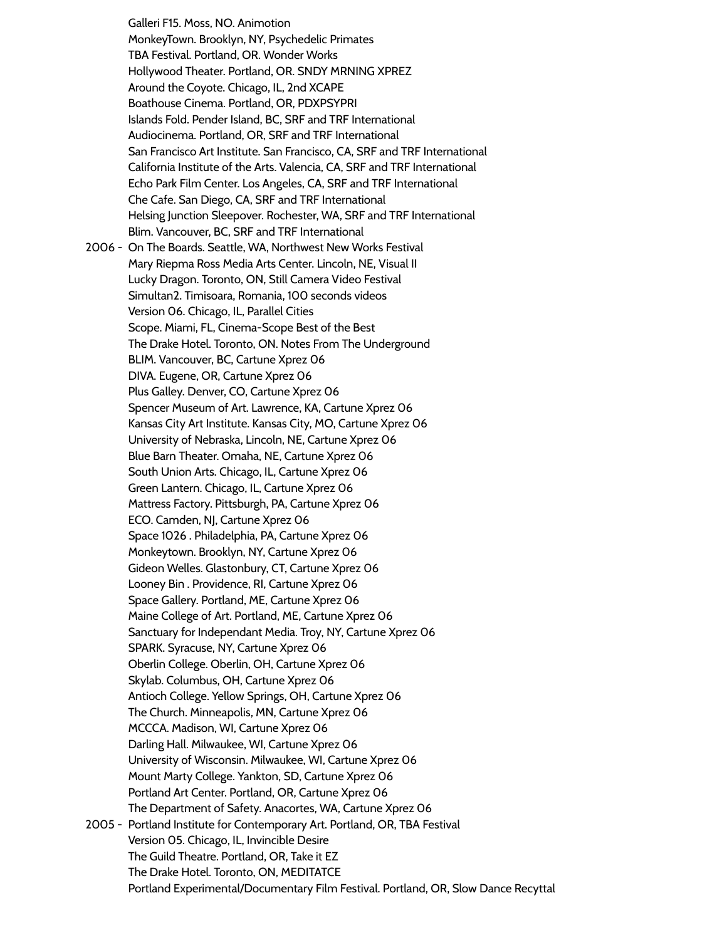Galleri F15. Moss, NO. Animotion MonkeyTown. Brooklyn, NY, Psychedelic Primates TBA Festival. Portland, OR. Wonder Works Hollywood Theater. Portland, OR. SNDY MRNING XPREZ Around the Coyote. Chicago, IL, 2nd XCAPE Boathouse Cinema. Portland, OR, PDXPSYPRI Islands Fold. Pender Island, BC, SRF and TRF International Audiocinema. Portland, OR, SRF and TRF International San Francisco Art Institute. San Francisco, CA, SRF and TRF International California Institute of the Arts. Valencia, CA, SRF and TRF International Echo Park Film Center. Los Angeles, CA, SRF and TRF International Che Cafe. San Diego, CA, SRF and TRF International Helsing Junction Sleepover. Rochester, WA, SRF and TRF International Blim. Vancouver, BC, SRF and TRF International 2006 - On The Boards. Seattle, WA, Northwest New Works Festival Mary Riepma Ross Media Arts Center. Lincoln, NE, Visual II Lucky Dragon. Toronto, ON, Still Camera Video Festival Simultan2. Timisoara, Romania, 100 seconds videos Version 06. Chicago, IL, Parallel Cities Scope. Miami, FL, Cinema-Scope Best of the Best The Drake Hotel. Toronto, ON. Notes From The Underground BLIM. Vancouver, BC, Cartune Xprez 06 DIVA. Eugene, OR, Cartune Xprez 06 Plus Galley. Denver, CO, Cartune Xprez 06 Spencer Museum of Art. Lawrence, KA, Cartune Xprez 06 Kansas City Art Institute. Kansas City, MO, Cartune Xprez 06 University of Nebraska, Lincoln, NE, Cartune Xprez 06 Blue Barn Theater. Omaha, NE, Cartune Xprez 06 South Union Arts. Chicago, IL, Cartune Xprez 06 Green Lantern. Chicago, IL, Cartune Xprez 06 Mattress Factory. Pittsburgh, PA, Cartune Xprez 06 ECO. Camden, NJ, Cartune Xprez 06 Space 1026 . Philadelphia, PA, Cartune Xprez 06 Monkeytown. Brooklyn, NY, Cartune Xprez 06 Gideon Welles. Glastonbury, CT, Cartune Xprez 06 Looney Bin . Providence, RI, Cartune Xprez 06 Space Gallery. Portland, ME, Cartune Xprez 06 Maine College of Art. Portland, ME, Cartune Xprez 06 Sanctuary for Independant Media. Troy, NY, Cartune Xprez 06 SPARK. Syracuse, NY, Cartune Xprez 06 Oberlin College. Oberlin, OH, Cartune Xprez 06 Skylab. Columbus, OH, Cartune Xprez 06 Antioch College. Yellow Springs, OH, Cartune Xprez 06 The Church. Minneapolis, MN, Cartune Xprez 06 MCCCA. Madison, WI, Cartune Xprez 06 Darling Hall. Milwaukee, WI, Cartune Xprez 06 University of Wisconsin. Milwaukee, WI, Cartune Xprez 06 Mount Marty College. Yankton, SD, Cartune Xprez 06 Portland Art Center. Portland, OR, Cartune Xprez 06 The Department of Safety. Anacortes, WA, Cartune Xprez 06 2005 - Portland Institute for Contemporary Art. Portland, OR, TBA Festival Version 05. Chicago, IL, Invincible Desire The Guild Theatre. Portland, OR, Take it EZ The Drake Hotel. Toronto, ON, MEDITATCE Portland Experimental/Documentary Film Festival. Portland, OR, Slow Dance Recyttal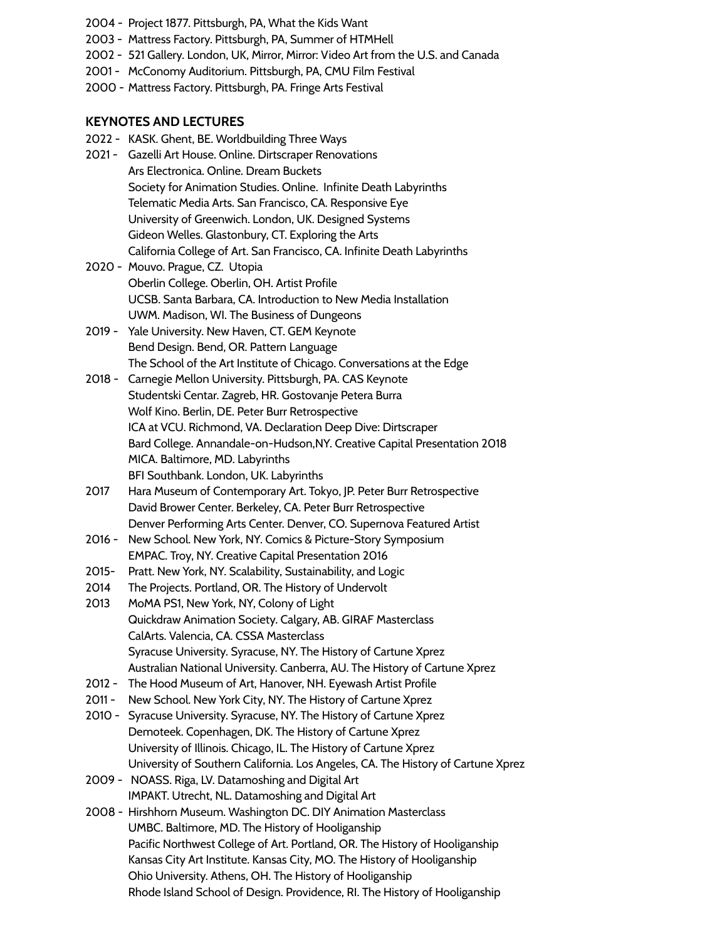- 2004 Project 1877. Pittsburgh, PA, What the Kids Want
- 2003 Mattress Factory. Pittsburgh, PA, Summer of HTMHell
- 2002 521 Gallery. London, UK, Mirror, Mirror: Video Art from the U.S. and Canada
- 2001 McConomy Auditorium. Pittsburgh, PA, CMU Film Festival
- 2000 Mattress Factory. Pittsburgh, PA. Fringe Arts Festival

#### **KEYNOTES AND LECTURES**

- 2022 KASK. Ghent, BE. Worldbuilding Three Ways
- 2021 Gazelli Art House. Online. Dirtscraper Renovations Ars Electronica. Online. Dream Buckets Society for Animation Studies. Online. Infinite Death Labyrinths Telematic Media Arts. San Francisco, CA. Responsive Eye University of Greenwich. London, UK. Designed Systems Gideon Welles. Glastonbury, CT. Exploring the Arts California College of Art. San Francisco, CA. Infinite Death Labyrinths
- 2020 Mouvo. Prague, CZ. Utopia Oberlin College. Oberlin, OH. Artist Profile UCSB. Santa Barbara, CA. Introduction to New Media Installation UWM. Madison, WI. The Business of Dungeons
- 2019 Yale University. New Haven, CT. GEM Keynote Bend Design. Bend, OR. Pattern Language The School of the Art Institute of Chicago. Conversations at the Edge
- 2018 Carnegie Mellon University. Pittsburgh, PA. CAS Keynote Studentski Centar. Zagreb, HR. Gostovanje Petera Burra Wolf Kino. Berlin, DE. Peter Burr Retrospective ICA at VCU. Richmond, VA. Declaration Deep Dive: Dirtscraper Bard College. Annandale-on-Hudson,NY. Creative Capital Presentation 2018 MICA. Baltimore, MD. Labyrinths BFI Southbank. London, UK. Labyrinths
- 2017 Hara Museum of Contemporary Art. Tokyo, JP. Peter Burr Retrospective David Brower Center. Berkeley, CA. Peter Burr Retrospective Denver Performing Arts Center. Denver, CO. Supernova Featured Artist
- 2016 New School. New York, NY. Comics & Picture-Story Symposium EMPAC. Troy, NY. Creative Capital Presentation 2016
- 2015- Pratt. New York, NY. Scalability, Sustainability, and Logic
- 2014 The Projects. Portland, OR. The History of Undervolt
- 2013 MoMA PS1, New York, NY, Colony of Light Quickdraw Animation Society. Calgary, AB. GIRAF Masterclass CalArts. Valencia, CA. CSSA Masterclass Syracuse University. Syracuse, NY. The History of Cartune Xprez Australian National University. Canberra, AU. The History of Cartune Xprez
- 2012 The Hood Museum of Art, Hanover, NH. Eyewash Artist Profile
- 2011 New School. New York City, NY. The History of Cartune Xprez
- 2010 Syracuse University. Syracuse, NY. The History of Cartune Xprez Demoteek. Copenhagen, DK. The History of Cartune Xprez University of Illinois. Chicago, IL. The History of Cartune Xprez University of Southern California. Los Angeles, CA. The History of Cartune Xprez
- 2009 NOASS. Riga, LV. Datamoshing and Digital Art IMPAKT. Utrecht, NL. Datamoshing and Digital Art
- 2008 Hirshhorn Museum. Washington DC. DIY Animation Masterclass UMBC. Baltimore, MD. The History of Hooliganship Pacific Northwest College of Art. Portland, OR. The History of Hooliganship Kansas City Art Institute. Kansas City, MO. The History of Hooliganship Ohio University. Athens, OH. The History of Hooliganship Rhode Island School of Design. Providence, RI. The History of Hooliganship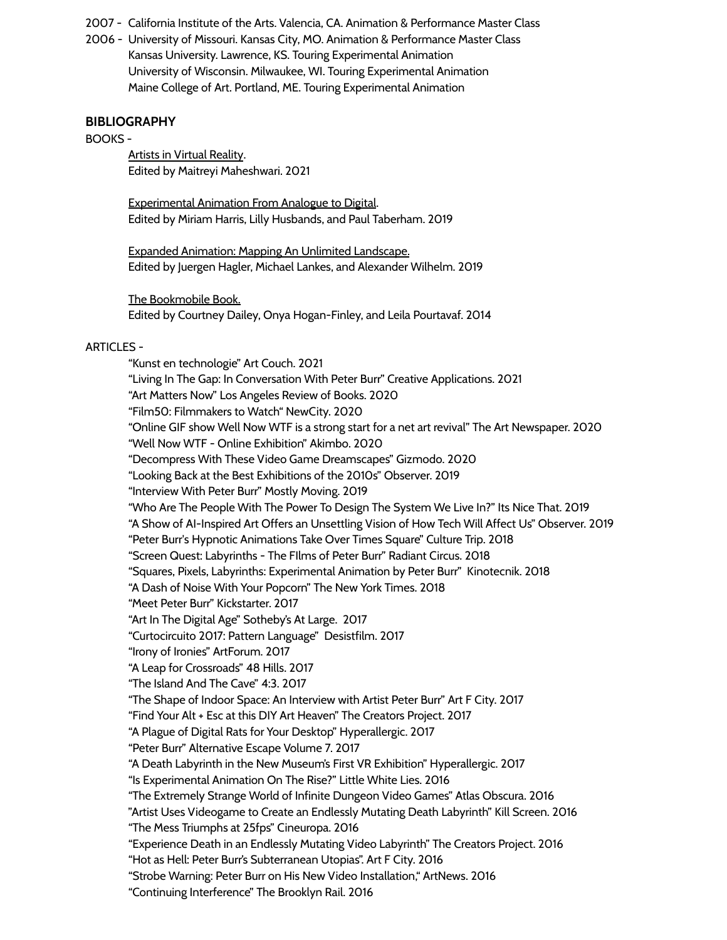2007 - California Institute of the Arts. Valencia, CA. Animation & Performance Master Class

2006 - University of Missouri. Kansas City, MO. Animation & Performance Master Class Kansas University. Lawrence, KS. Touring Experimental Animation University of Wisconsin. Milwaukee, WI. Touring Experimental Animation Maine College of Art. Portland, ME. Touring Experimental Animation

#### **BIBLIOGRAPHY**

#### BOOKS -

**Artists in Virtual Reality.** Edited by Maitreyi Maheshwari. 2021

Experimental Animation From Analogue to Digital. Edited by Miriam Harris, Lilly Husbands, and Paul Taberham. 2019

Expanded Animation: Mapping An Unlimited Landscape. Edited by Juergen Hagler, Michael Lankes, and Alexander Wilhelm. 2019

The Bookmobile Book. Edited by Courtney Dailey, Onya Hogan-Finley, and Leila Pourtavaf. 2014

#### ARTICLES -

"Kunst en technologie" Art Couch. 2021 "Living In The Gap: In Conversation With Peter Burr" Creative Applications. 2021 "Art Matters Now" Los Angeles Review of Books. 2020 "Film50: Filmmakers to Watch" NewCity. 2020 "Online GIF show Well Now WTF is a strong start for a net art revival" The Art Newspaper. 2020 "Well Now WTF - Online Exhibition" Akimbo. 2020 "Decompress With These Video Game Dreamscapes" Gizmodo. 2020 "Looking Back at the Best Exhibitions of the 2010s" Observer. 2019 "Interview With Peter Burr" Mostly Moving. 2019 "Who Are The People With The Power To Design The System We Live In?" Its Nice That. 2019 "A Show of AI-Inspired Art Offers an Unsettling Vision of How Tech Will Affect Us" Observer. 2019 "Peter Burr's Hypnotic Animations Take Over Times Square" Culture Trip. 2018 "Screen Quest: Labyrinths - The FIlms of Peter Burr" Radiant Circus. 2018 "Squares, Pixels, Labyrinths: Experimental Animation by Peter Burr" Kinotecnik. 2018 "A Dash of Noise With Your Popcorn" The New York Times. 2018 "Meet Peter Burr" Kickstarter. 2017 "Art In The Digital Age" Sotheby's At Large. 2017 "Curtocircuito 2017: Pattern Language" Desistfilm. 2017 "Irony of Ironies" ArtForum. 2017 "A Leap for Crossroads" 48 Hills. 2017 "The Island And The Cave" 4:3. 2017 "The Shape of Indoor Space: An Interview with Artist Peter Burr" Art F City. 2017 "Find Your Alt + Esc at this DIY Art Heaven" The Creators Project. 2017 "A Plague of Digital Rats for Your Desktop" Hyperallergic. 2017 "Peter Burr" Alternative Escape Volume 7. 2017 "A Death Labyrinth in the New Museum's First VR Exhibition" Hyperallergic. 2017 "Is Experimental Animation On The Rise?" Little White Lies. 2016 "The Extremely Strange World of Infinite Dungeon Video Games" Atlas Obscura. 2016 "Artist Uses Videogame to Create an Endlessly Mutating Death Labyrinth" Kill Screen. 2016 "The Mess Triumphs at 25fps" Cineuropa. 2016 "Experience Death in an Endlessly Mutating Video Labyrinth" The Creators Project. 2016 "Hot as Hell: Peter Burr's Subterranean Utopias". Art F City. 2016 "Strobe Warning: Peter Burr on His New Video Installation," ArtNews. 2016 "Continuing Interference" The Brooklyn Rail. 2016